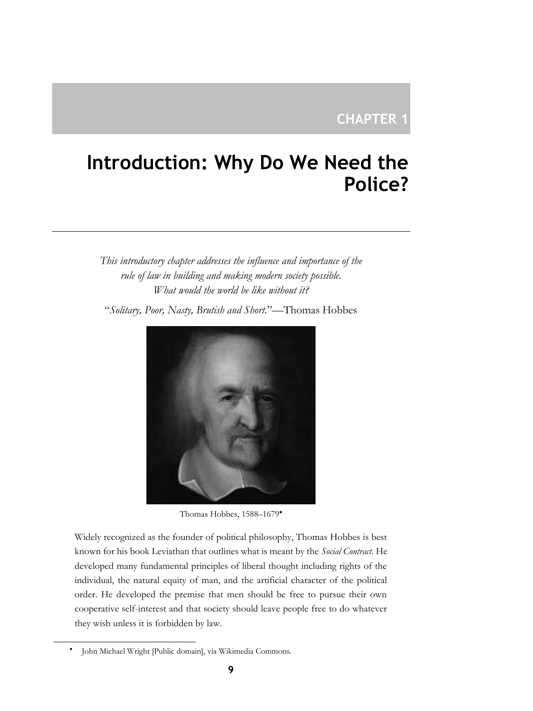# **CHAPTER 1**

# **Introduction: Why Do We Need the Police?**

*This introductory chapter addresses the influence and importance of the rule of law in building and making modern society possible. What would the world be like without it?*

"*Solitary, Poor, Nasty, Brutish and Short.*"—Thomas Hobbes



Thomas Hobbes, 1588–1679

Widely recognized as the founder of political philosophy, Thomas Hobbes is best known for his book Leviathan that outlines what is meant by the *Social Contract*. He developed many fundamental principles of liberal thought including rights of the individual, the natural equity of man, and the artificial character of the political order. He developed the premise that men should be free to pursue their own cooperative self-interest and that society should leave people free to do whatever they wish unless it is forbidden by law.

٠ John Michael Wright [Public domain], via Wikimedia Commons.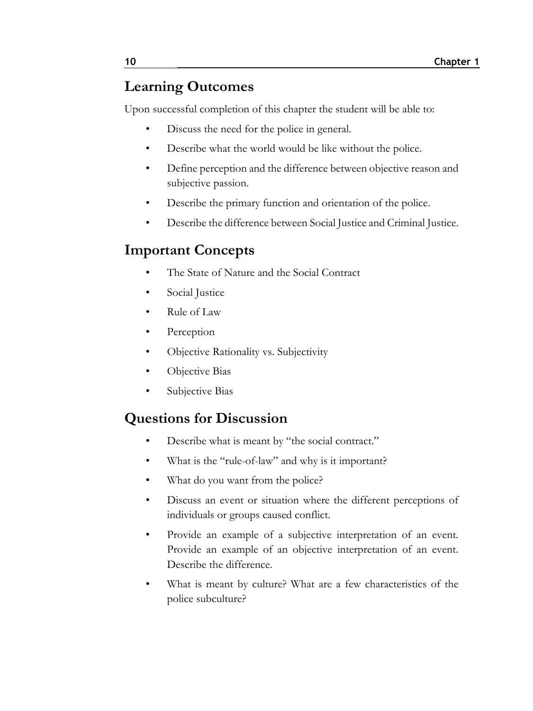# **Learning Outcomes**

Upon successful completion of this chapter the student will be able to:

- Discuss the need for the police in general.
- Describe what the world would be like without the police.
- Define perception and the difference between objective reason and subjective passion.
- Describe the primary function and orientation of the police.
- Describe the difference between Social Justice and Criminal Justice.

# **Important Concepts**

- The State of Nature and the Social Contract
- Social Justice
- Rule of Law
- **Perception**
- Objective Rationality vs. Subjectivity
- Objective Bias
- Subjective Bias

# **Questions for Discussion**

- Describe what is meant by "the social contract."
- What is the "rule-of-law" and why is it important?
- What do you want from the police?
- Discuss an event or situation where the different perceptions of individuals or groups caused conflict.
- Provide an example of a subjective interpretation of an event. Provide an example of an objective interpretation of an event. Describe the difference.
- What is meant by culture? What are a few characteristics of the police subculture?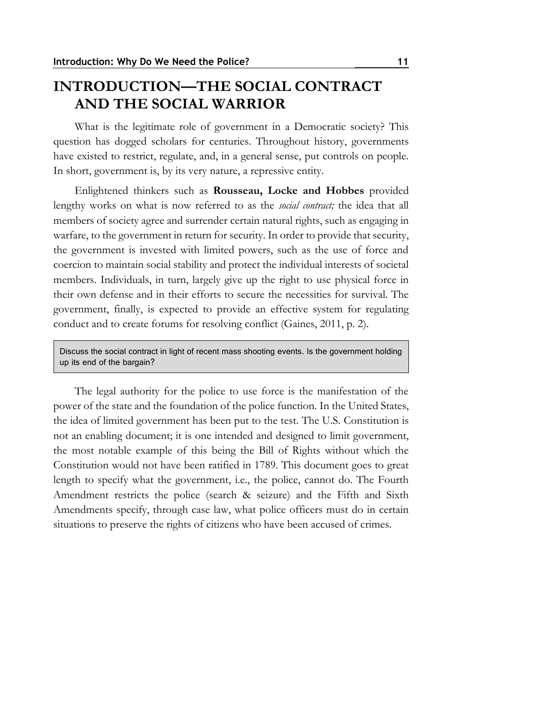### **INTRODUCTION—THE SOCIAL CONTRACT AND THE SOCIAL WARRIOR**

What is the legitimate role of government in a Democratic society? This question has dogged scholars for centuries. Throughout history, governments have existed to restrict, regulate, and, in a general sense, put controls on people. In short, government is, by its very nature, a repressive entity.

Enlightened thinkers such as **Rousseau, Locke and Hobbes** provided lengthy works on what is now referred to as the *social contract;* the idea that all members of society agree and surrender certain natural rights, such as engaging in warfare, to the government in return for security. In order to provide that security, the government is invested with limited powers, such as the use of force and coercion to maintain social stability and protect the individual interests of societal members. Individuals, in turn, largely give up the right to use physical force in their own defense and in their efforts to secure the necessities for survival. The government, finally, is expected to provide an effective system for regulating conduct and to create forums for resolving conflict (Gaines, 2011, p. 2).

Discuss the social contract in light of recent mass shooting events. Is the government holding up its end of the bargain?

The legal authority for the police to use force is the manifestation of the power of the state and the foundation of the police function. In the United States, the idea of limited government has been put to the test. The U.S. Constitution is not an enabling document; it is one intended and designed to limit government, the most notable example of this being the Bill of Rights without which the Constitution would not have been ratified in 1789. This document goes to great length to specify what the government, i.e., the police, cannot do. The Fourth Amendment restricts the police (search & seizure) and the Fifth and Sixth Amendments specify, through case law, what police officers must do in certain situations to preserve the rights of citizens who have been accused of crimes.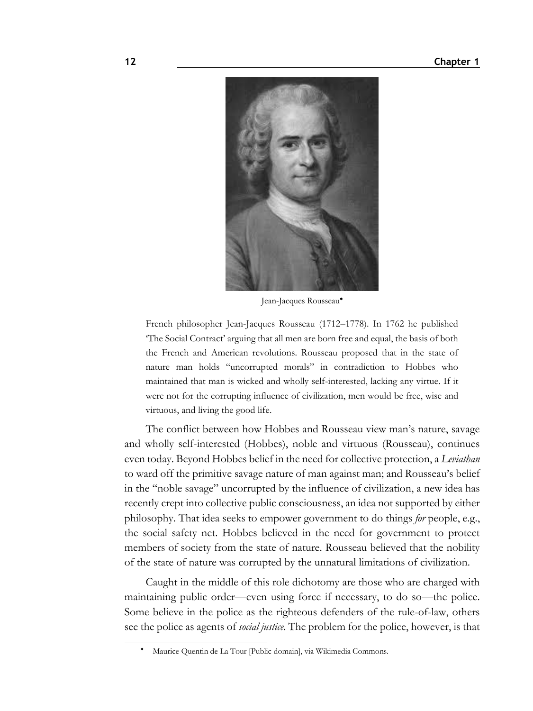

Jean-Jacques Rousseau

French philosopher Jean-Jacques Rousseau (1712–1778). In 1762 he published 'The Social Contract' arguing that all men are born free and equal, the basis of both the French and American revolutions. Rousseau proposed that in the state of nature man holds "uncorrupted morals" in contradiction to Hobbes who maintained that man is wicked and wholly self-interested, lacking any virtue. If it were not for the corrupting influence of civilization, men would be free, wise and virtuous, and living the good life.

The conflict between how Hobbes and Rousseau view man's nature, savage and wholly self-interested (Hobbes), noble and virtuous (Rousseau), continues even today. Beyond Hobbes belief in the need for collective protection, a *Leviathan* to ward off the primitive savage nature of man against man; and Rousseau's belief in the "noble savage" uncorrupted by the influence of civilization, a new idea has recently crept into collective public consciousness, an idea not supported by either philosophy. That idea seeks to empower government to do things *for* people, e.g., the social safety net. Hobbes believed in the need for government to protect members of society from the state of nature. Rousseau believed that the nobility of the state of nature was corrupted by the unnatural limitations of civilization.

Caught in the middle of this role dichotomy are those who are charged with maintaining public order—even using force if necessary, to do so—the police. Some believe in the police as the righteous defenders of the rule-of-law, others see the police as agents of *social justice*. The problem for the police, however, is that

Maurice Quentin de La Tour [Public domain], via Wikimedia Commons.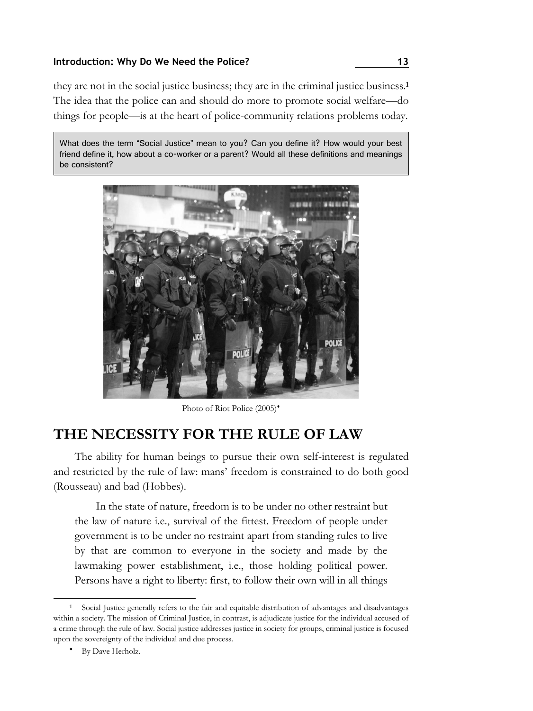they are not in the social justice business; they are in the criminal justice business.**<sup>1</sup>** The idea that the police can and should do more to promote social welfare—do things for people—is at the heart of police-community relations problems today.

What does the term "Social Justice" mean to you? Can you define it? How would your best friend define it, how about a co-worker or a parent? Would all these definitions and meanings be consistent?



Photo of Riot Police (2005)<sup>\*</sup>

### **THE NECESSITY FOR THE RULE OF LAW**

The ability for human beings to pursue their own self-interest is regulated and restricted by the rule of law: mans' freedom is constrained to do both good (Rousseau) and bad (Hobbes).

In the state of nature, freedom is to be under no other restraint but the law of nature i.e., survival of the fittest. Freedom of people under government is to be under no restraint apart from standing rules to live by that are common to everyone in the society and made by the lawmaking power establishment, i.e., those holding political power. Persons have a right to liberty: first, to follow their own will in all things

**<sup>1</sup>** Social Justice generally refers to the fair and equitable distribution of advantages and disadvantages within a society. The mission of Criminal Justice, in contrast, is adjudicate justice for the individual accused of a crime through the rule of law. Social justice addresses justice in society for groups, criminal justice is focused upon the sovereignty of the individual and due process.

By Dave Herholz.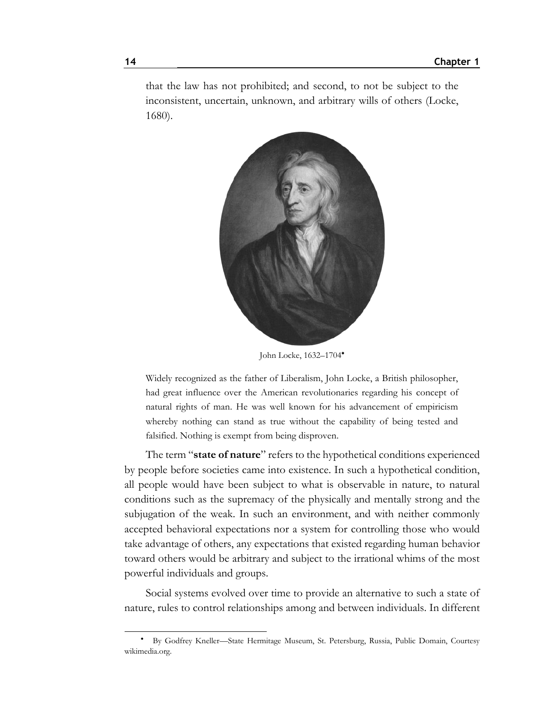that the law has not prohibited; and second, to not be subject to the inconsistent, uncertain, unknown, and arbitrary wills of others (Locke, 1680).



John Locke, 1632–1704

Widely recognized as the father of Liberalism, John Locke, a British philosopher, had great influence over the American revolutionaries regarding his concept of natural rights of man. He was well known for his advancement of empiricism whereby nothing can stand as true without the capability of being tested and falsified. Nothing is exempt from being disproven.

The term "**state of nature**" refers to the hypothetical conditions experienced by people before societies came into existence. In such a hypothetical condition, all people would have been subject to what is observable in nature, to natural conditions such as the supremacy of the physically and mentally strong and the subjugation of the weak. In such an environment, and with neither commonly accepted behavioral expectations nor a system for controlling those who would take advantage of others, any expectations that existed regarding human behavior toward others would be arbitrary and subject to the irrational whims of the most powerful individuals and groups.

Social systems evolved over time to provide an alternative to such a state of nature, rules to control relationships among and between individuals. In different

By Godfrey Kneller—State Hermitage Museum, St. Petersburg, Russia, Public Domain, Courtesy wikimedia.org.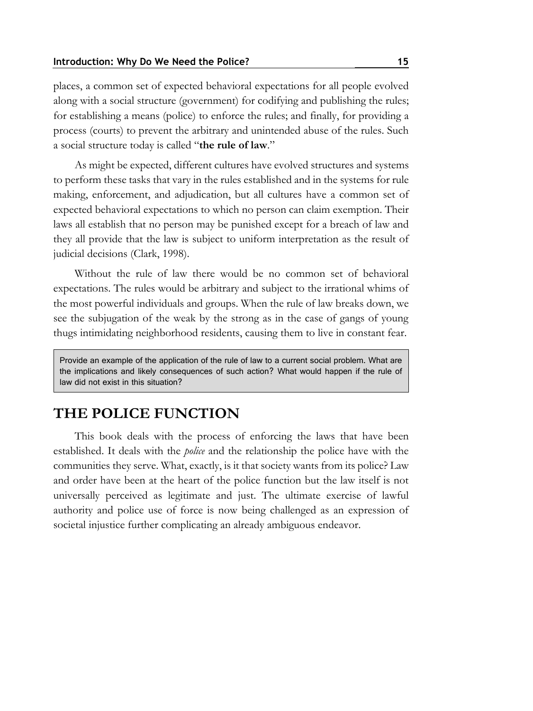places, a common set of expected behavioral expectations for all people evolved along with a social structure (government) for codifying and publishing the rules; for establishing a means (police) to enforce the rules; and finally, for providing a process (courts) to prevent the arbitrary and unintended abuse of the rules. Such a social structure today is called "**the rule of law**."

As might be expected, different cultures have evolved structures and systems to perform these tasks that vary in the rules established and in the systems for rule making, enforcement, and adjudication, but all cultures have a common set of expected behavioral expectations to which no person can claim exemption. Their laws all establish that no person may be punished except for a breach of law and they all provide that the law is subject to uniform interpretation as the result of judicial decisions (Clark, 1998).

Without the rule of law there would be no common set of behavioral expectations. The rules would be arbitrary and subject to the irrational whims of the most powerful individuals and groups. When the rule of law breaks down, we see the subjugation of the weak by the strong as in the case of gangs of young thugs intimidating neighborhood residents, causing them to live in constant fear.

Provide an example of the application of the rule of law to a current social problem. What are the implications and likely consequences of such action? What would happen if the rule of law did not exist in this situation?

### **THE POLICE FUNCTION**

This book deals with the process of enforcing the laws that have been established. It deals with the *police* and the relationship the police have with the communities they serve. What, exactly, is it that society wants from its police? Law and order have been at the heart of the police function but the law itself is not universally perceived as legitimate and just. The ultimate exercise of lawful authority and police use of force is now being challenged as an expression of societal injustice further complicating an already ambiguous endeavor.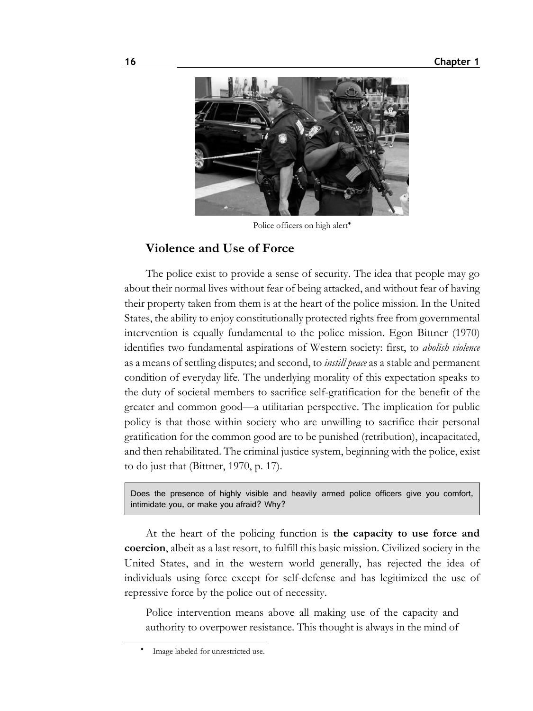

Police officers on high alert<sup>\*</sup>

#### **Violence and Use of Force**

The police exist to provide a sense of security. The idea that people may go about their normal lives without fear of being attacked, and without fear of having their property taken from them is at the heart of the police mission. In the United States, the ability to enjoy constitutionally protected rights free from governmental intervention is equally fundamental to the police mission. Egon Bittner (1970) identifies two fundamental aspirations of Western society: first, to *abolish violence* as a means of settling disputes; and second, to *instill peace* as a stable and permanent condition of everyday life. The underlying morality of this expectation speaks to the duty of societal members to sacrifice self-gratification for the benefit of the greater and common good—a utilitarian perspective. The implication for public policy is that those within society who are unwilling to sacrifice their personal gratification for the common good are to be punished (retribution), incapacitated, and then rehabilitated. The criminal justice system, beginning with the police, exist to do just that (Bittner, 1970, p. 17).

Does the presence of highly visible and heavily armed police officers give you comfort, intimidate you, or make you afraid? Why?

At the heart of the policing function is **the capacity to use force and coercion**, albeit as a last resort, to fulfill this basic mission. Civilized society in the United States, and in the western world generally, has rejected the idea of individuals using force except for self-defense and has legitimized the use of repressive force by the police out of necessity.

Police intervention means above all making use of the capacity and authority to overpower resistance. This thought is always in the mind of

٠ Image labeled for unrestricted use.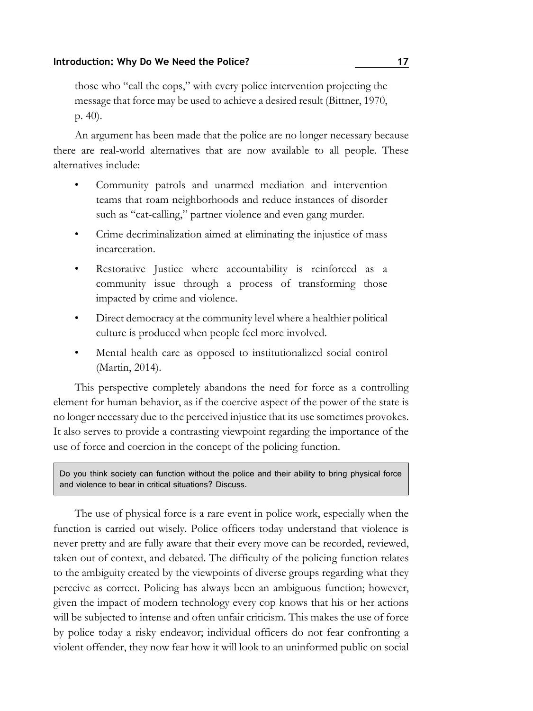those who "call the cops," with every police intervention projecting the message that force may be used to achieve a desired result (Bittner, 1970, p. 40).

An argument has been made that the police are no longer necessary because there are real-world alternatives that are now available to all people. These alternatives include:

- Community patrols and unarmed mediation and intervention teams that roam neighborhoods and reduce instances of disorder such as "cat-calling," partner violence and even gang murder.
- Crime decriminalization aimed at eliminating the injustice of mass incarceration.
- Restorative Justice where accountability is reinforced as a community issue through a process of transforming those impacted by crime and violence.
- Direct democracy at the community level where a healthier political culture is produced when people feel more involved.
- Mental health care as opposed to institutionalized social control (Martin, 2014).

This perspective completely abandons the need for force as a controlling element for human behavior, as if the coercive aspect of the power of the state is no longer necessary due to the perceived injustice that its use sometimes provokes. It also serves to provide a contrasting viewpoint regarding the importance of the use of force and coercion in the concept of the policing function.

Do you think society can function without the police and their ability to bring physical force and violence to bear in critical situations? Discuss.

The use of physical force is a rare event in police work, especially when the function is carried out wisely. Police officers today understand that violence is never pretty and are fully aware that their every move can be recorded, reviewed, taken out of context, and debated. The difficulty of the policing function relates to the ambiguity created by the viewpoints of diverse groups regarding what they perceive as correct. Policing has always been an ambiguous function; however, given the impact of modern technology every cop knows that his or her actions will be subjected to intense and often unfair criticism. This makes the use of force by police today a risky endeavor; individual officers do not fear confronting a violent offender, they now fear how it will look to an uninformed public on social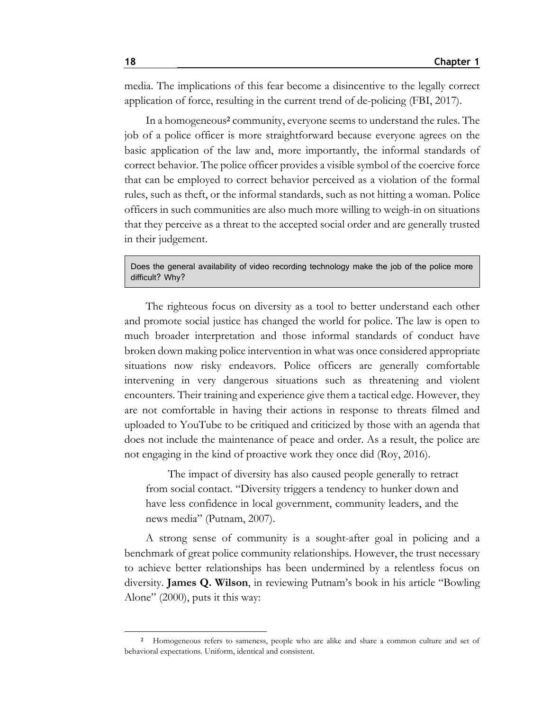media. The implications of this fear become a disincentive to the legally correct application of force, resulting in the current trend of de-policing (FBI, 2017).

In a homogeneous**<sup>2</sup>** community, everyone seems to understand the rules. The job of a police officer is more straightforward because everyone agrees on the basic application of the law and, more importantly, the informal standards of correct behavior. The police officer provides a visible symbol of the coercive force that can be employed to correct behavior perceived as a violation of the formal rules, such as theft, or the informal standards, such as not hitting a woman. Police officers in such communities are also much more willing to weigh-in on situations that they perceive as a threat to the accepted social order and are generally trusted in their judgement.

Does the general availability of video recording technology make the job of the police more difficult? Why?

The righteous focus on diversity as a tool to better understand each other and promote social justice has changed the world for police. The law is open to much broader interpretation and those informal standards of conduct have broken down making police intervention in what was once considered appropriate situations now risky endeavors. Police officers are generally comfortable intervening in very dangerous situations such as threatening and violent encounters. Their training and experience give them a tactical edge. However, they are not comfortable in having their actions in response to threats filmed and uploaded to YouTube to be critiqued and criticized by those with an agenda that does not include the maintenance of peace and order. As a result, the police are not engaging in the kind of proactive work they once did (Roy, 2016).

The impact of diversity has also caused people generally to retract from social contact. "Diversity triggers a tendency to hunker down and have less confidence in local government, community leaders, and the news media" (Putnam, 2007).

A strong sense of community is a sought-after goal in policing and a benchmark of great police community relationships. However, the trust necessary to achieve better relationships has been undermined by a relentless focus on diversity. **James Q. Wilson**, in reviewing Putnam's book in his article "Bowling Alone" (2000), puts it this way:

**<sup>2</sup>** Homogeneous refers to sameness, people who are alike and share a common culture and set of behavioral expectations. Uniform, identical and consistent.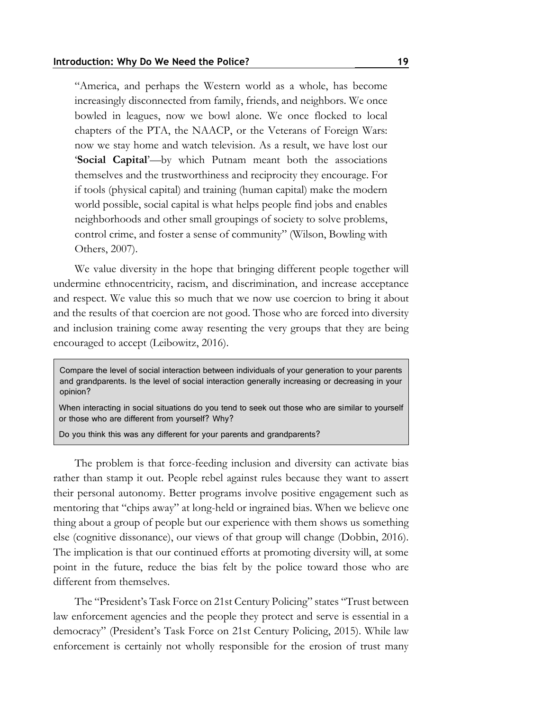"America, and perhaps the Western world as a whole, has become increasingly disconnected from family, friends, and neighbors. We once bowled in leagues, now we bowl alone. We once flocked to local chapters of the PTA, the NAACP, or the Veterans of Foreign Wars: now we stay home and watch television. As a result, we have lost our '**Social Capital**'—by which Putnam meant both the associations themselves and the trustworthiness and reciprocity they encourage. For if tools (physical capital) and training (human capital) make the modern world possible, social capital is what helps people find jobs and enables neighborhoods and other small groupings of society to solve problems, control crime, and foster a sense of community" (Wilson, Bowling with Others, 2007).

We value diversity in the hope that bringing different people together will undermine ethnocentricity, racism, and discrimination, and increase acceptance and respect. We value this so much that we now use coercion to bring it about and the results of that coercion are not good. Those who are forced into diversity and inclusion training come away resenting the very groups that they are being encouraged to accept (Leibowitz, 2016).

Compare the level of social interaction between individuals of your generation to your parents and grandparents. Is the level of social interaction generally increasing or decreasing in your opinion?

When interacting in social situations do you tend to seek out those who are similar to yourself or those who are different from yourself? Why?

Do you think this was any different for your parents and grandparents?

The problem is that force-feeding inclusion and diversity can activate bias rather than stamp it out. People rebel against rules because they want to assert their personal autonomy. Better programs involve positive engagement such as mentoring that "chips away" at long-held or ingrained bias. When we believe one thing about a group of people but our experience with them shows us something else (cognitive dissonance), our views of that group will change (Dobbin, 2016). The implication is that our continued efforts at promoting diversity will, at some point in the future, reduce the bias felt by the police toward those who are different from themselves.

The "President's Task Force on 21st Century Policing" states "Trust between law enforcement agencies and the people they protect and serve is essential in a democracy" (President's Task Force on 21st Century Policing, 2015). While law enforcement is certainly not wholly responsible for the erosion of trust many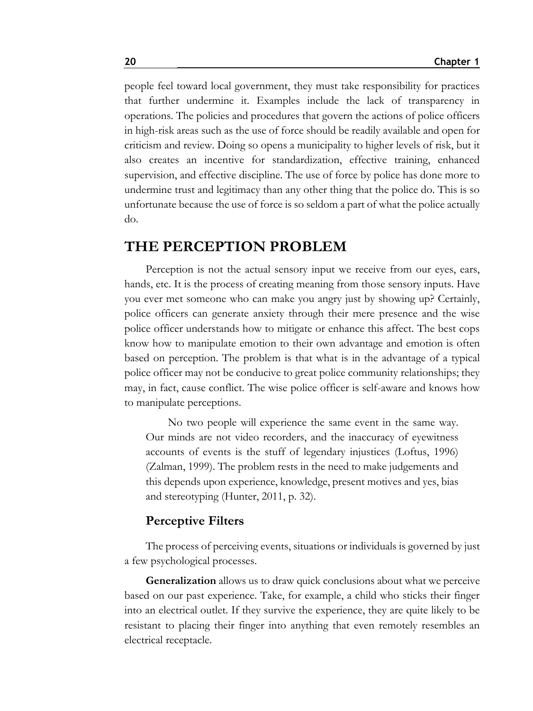people feel toward local government, they must take responsibility for practices that further undermine it. Examples include the lack of transparency in operations. The policies and procedures that govern the actions of police officers in high-risk areas such as the use of force should be readily available and open for criticism and review. Doing so opens a municipality to higher levels of risk, but it also creates an incentive for standardization, effective training, enhanced supervision, and effective discipline. The use of force by police has done more to undermine trust and legitimacy than any other thing that the police do. This is so unfortunate because the use of force is so seldom a part of what the police actually do.

### **THE PERCEPTION PROBLEM**

Perception is not the actual sensory input we receive from our eyes, ears, hands, etc. It is the process of creating meaning from those sensory inputs. Have you ever met someone who can make you angry just by showing up? Certainly, police officers can generate anxiety through their mere presence and the wise police officer understands how to mitigate or enhance this affect. The best cops know how to manipulate emotion to their own advantage and emotion is often based on perception. The problem is that what is in the advantage of a typical police officer may not be conducive to great police community relationships; they may, in fact, cause conflict. The wise police officer is self-aware and knows how to manipulate perceptions.

No two people will experience the same event in the same way. Our minds are not video recorders, and the inaccuracy of eyewitness accounts of events is the stuff of legendary injustices (Loftus, 1996) (Zalman, 1999). The problem rests in the need to make judgements and this depends upon experience, knowledge, present motives and yes, bias and stereotyping (Hunter, 2011, p. 32).

#### **Perceptive Filters**

The process of perceiving events, situations or individuals is governed by just a few psychological processes.

**Generalization** allows us to draw quick conclusions about what we perceive based on our past experience. Take, for example, a child who sticks their finger into an electrical outlet. If they survive the experience, they are quite likely to be resistant to placing their finger into anything that even remotely resembles an electrical receptacle.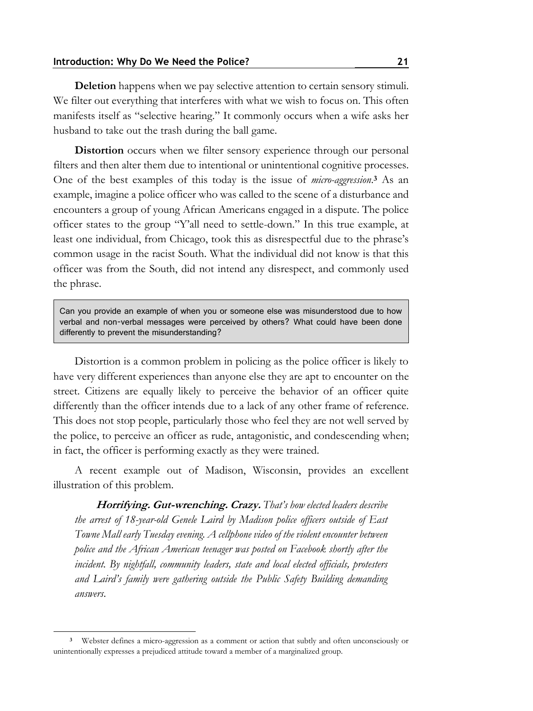**Deletion** happens when we pay selective attention to certain sensory stimuli. We filter out everything that interferes with what we wish to focus on. This often manifests itself as "selective hearing." It commonly occurs when a wife asks her husband to take out the trash during the ball game.

**Distortion** occurs when we filter sensory experience through our personal filters and then alter them due to intentional or unintentional cognitive processes. One of the best examples of this today is the issue of *micro-aggression*. **<sup>3</sup>** As an example, imagine a police officer who was called to the scene of a disturbance and encounters a group of young African Americans engaged in a dispute. The police officer states to the group "Y'all need to settle-down." In this true example, at least one individual, from Chicago, took this as disrespectful due to the phrase's common usage in the racist South. What the individual did not know is that this officer was from the South, did not intend any disrespect, and commonly used the phrase.

Can you provide an example of when you or someone else was misunderstood due to how verbal and non-verbal messages were perceived by others? What could have been done differently to prevent the misunderstanding?

Distortion is a common problem in policing as the police officer is likely to have very different experiences than anyone else they are apt to encounter on the street. Citizens are equally likely to perceive the behavior of an officer quite differently than the officer intends due to a lack of any other frame of reference. This does not stop people, particularly those who feel they are not well served by the police, to perceive an officer as rude, antagonistic, and condescending when; in fact, the officer is performing exactly as they were trained.

A recent example out of Madison, Wisconsin, provides an excellent illustration of this problem.

**Horrifying. Gut-wrenching. Crazy.** *That's how elected leaders describe the arrest of 18-year-old Genele Laird by Madison police officers outside of East Towne Mall early Tuesday evening. A cellphone video of the violent encounter between police and the African American teenager was posted on Facebook shortly after the incident. By nightfall, community leaders, state and local elected officials, protesters and Laird's family were gathering outside the Public Safety Building demanding answers*.

**<sup>3</sup>** Webster defines a micro-aggression as a comment or action that subtly and often unconsciously or unintentionally expresses a prejudiced attitude toward a member of a marginalized group.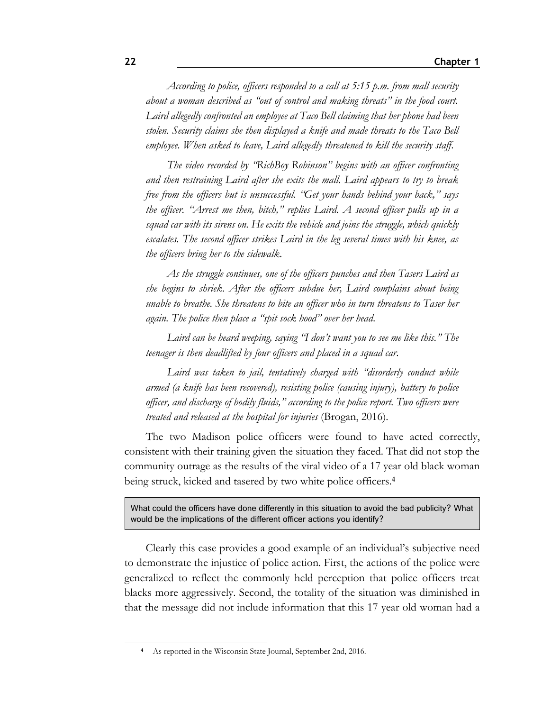*According to police, officers responded to a call at 5:15 p.m. from mall security about a woman described as "out of control and making threats" in the food court. Laird allegedly confronted an employee at Taco Bell claiming that her phone had been stolen. Security claims she then displayed a knife and made threats to the Taco Bell employee. When asked to leave, Laird allegedly threatened to kill the security staff*.

*The video recorded by "RichBoy Robinson" begins with an officer confronting and then restraining Laird after she exits the mall. Laird appears to try to break free from the officers but is unsuccessful. "Get your hands behind your back," says the officer. "Arrest me then, bitch," replies Laird. A second officer pulls up in a squad car with its sirens on. He exits the vehicle and joins the struggle, which quickly escalates. The second officer strikes Laird in the leg several times with his knee, as the officers bring her to the sidewalk*.

*As the struggle continues, one of the officers punches and then Tasers Laird as she begins to shriek. After the officers subdue her, Laird complains about being unable to breathe. She threatens to bite an officer who in turn threatens to Taser her again. The police then place a "spit sock hood" over her head*.

*Laird can be heard weeping, saying "I don't want you to see me like this." The teenager is then deadlifted by four officers and placed in a squad car*.

*Laird was taken to jail, tentatively charged with "disorderly conduct while armed (a knife has been recovered), resisting police (causing injury), battery to police officer, and discharge of bodily fluids," according to the police report. Two officers were treated and released at the hospital for injuries* (Brogan, 2016).

The two Madison police officers were found to have acted correctly, consistent with their training given the situation they faced. That did not stop the community outrage as the results of the viral video of a 17 year old black woman being struck, kicked and tasered by two white police officers.**<sup>4</sup>**

What could the officers have done differently in this situation to avoid the bad publicity? What would be the implications of the different officer actions you identify?

Clearly this case provides a good example of an individual's subjective need to demonstrate the injustice of police action. First, the actions of the police were generalized to reflect the commonly held perception that police officers treat blacks more aggressively. Second, the totality of the situation was diminished in that the message did not include information that this 17 year old woman had a

**<sup>4</sup>** As reported in the Wisconsin State Journal, September 2nd, 2016.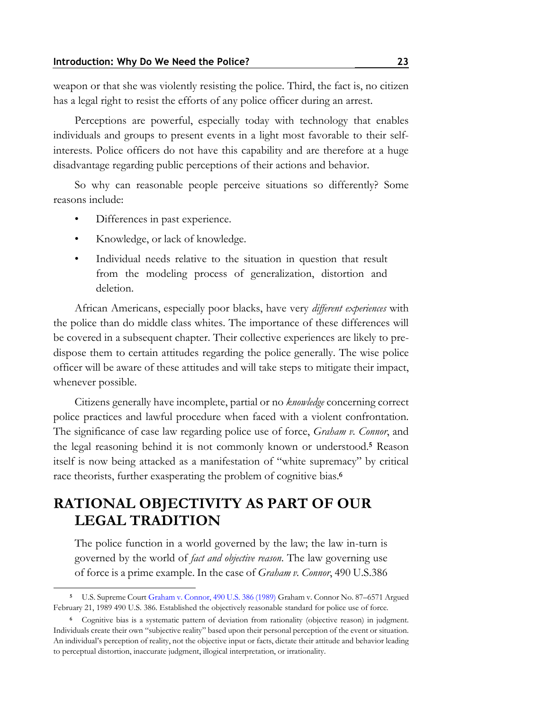weapon or that she was violently resisting the police. Third, the fact is, no citizen has a legal right to resist the efforts of any police officer during an arrest.

Perceptions are powerful, especially today with technology that enables individuals and groups to present events in a light most favorable to their selfinterests. Police officers do not have this capability and are therefore at a huge disadvantage regarding public perceptions of their actions and behavior.

So why can reasonable people perceive situations so differently? Some reasons include:

- Differences in past experience.
- Knowledge, or lack of knowledge.
- Individual needs relative to the situation in question that result from the modeling process of generalization, distortion and deletion.

African Americans, especially poor blacks, have very *different experiences* with the police than do middle class whites. The importance of these differences will be covered in a subsequent chapter. Their collective experiences are likely to predispose them to certain attitudes regarding the police generally. The wise police officer will be aware of these attitudes and will take steps to mitigate their impact, whenever possible.

Citizens generally have incomplete, partial or no *knowledge* concerning correct police practices and lawful procedure when faced with a violent confrontation. The significance of case law regarding police use of force, *Graham v. Connor*, and the legal reasoning behind it is not commonly known or understood.**<sup>5</sup>** Reason itself is now being attacked as a manifestation of "white supremacy" by critical race theorists, further exasperating the problem of cognitive bias.**<sup>6</sup>**

### **RATIONAL OBJECTIVITY AS PART OF OUR LEGAL TRADITION**

The police function in a world governed by the law; the law in-turn is governed by the world of *fact and objective reason*. The law governing use of force is a prime example. In the case of *Graham v. Connor*, 490 U.S.386

**<sup>5</sup>** U.S. Supreme Cour[t Graham v. Connor, 490 U.S. 386 \(1989\)](http://lawschool.westlaw.com/shared/westlawRedirect.aspx?task=find&cite=490+U.S.+386&appflag=67.12) Graham v. Connor No. 87–6571 Argued February 21, 1989 490 U.S. 386. Established the objectively reasonable standard for police use of force.

**<sup>6</sup>** Cognitive bias is a systematic pattern of deviation from rationality (objective reason) in judgment. Individuals create their own "subjective reality" based upon their personal perception of the event or situation. An individual's perception of reality, not the objective input or facts, dictate their attitude and behavior leading to perceptual distortion, inaccurate judgment, illogical interpretation, or irrationality.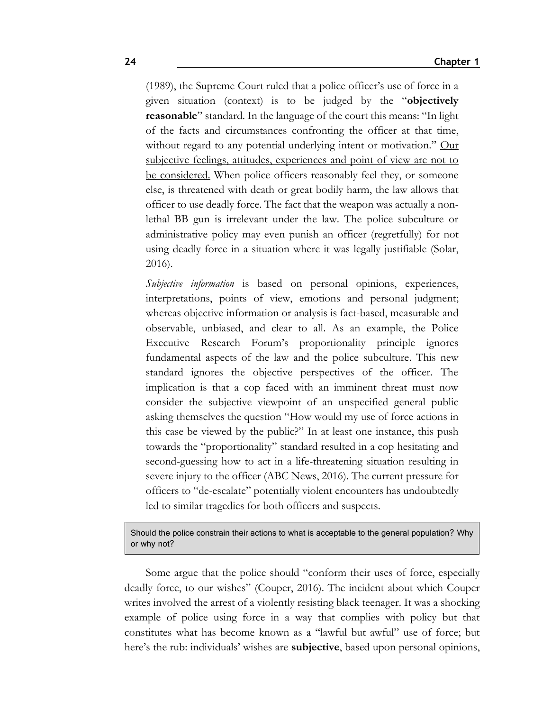(1989), the Supreme Court ruled that a police officer's use of force in a given situation (context) is to be judged by the "**objectively reasonable**" standard. In the language of the court this means: "In light of the facts and circumstances confronting the officer at that time, without regard to any potential underlying intent or motivation." Our subjective feelings, attitudes, experiences and point of view are not to be considered. When police officers reasonably feel they, or someone else, is threatened with death or great bodily harm, the law allows that officer to use deadly force. The fact that the weapon was actually a nonlethal BB gun is irrelevant under the law. The police subculture or administrative policy may even punish an officer (regretfully) for not using deadly force in a situation where it was legally justifiable (Solar, 2016).

*Subjective information* is based on personal opinions, experiences, interpretations, points of view, emotions and personal judgment; whereas objective information or analysis is fact-based, measurable and observable, unbiased, and clear to all. As an example, the Police Executive Research Forum's proportionality principle ignores fundamental aspects of the law and the police subculture. This new standard ignores the objective perspectives of the officer. The implication is that a cop faced with an imminent threat must now consider the subjective viewpoint of an unspecified general public asking themselves the question "How would my use of force actions in this case be viewed by the public?" In at least one instance, this push towards the "proportionality" standard resulted in a cop hesitating and second-guessing how to act in a life-threatening situation resulting in severe injury to the officer (ABC News, 2016). The current pressure for officers to "de-escalate" potentially violent encounters has undoubtedly led to similar tragedies for both officers and suspects.

#### Should the police constrain their actions to what is acceptable to the general population? Why or why not?

Some argue that the police should "conform their uses of force, especially deadly force, to our wishes" (Couper, 2016). The incident about which Couper writes involved the arrest of a violently resisting black teenager. It was a shocking example of police using force in a way that complies with policy but that constitutes what has become known as a "lawful but awful" use of force; but here's the rub: individuals' wishes are **subjective**, based upon personal opinions,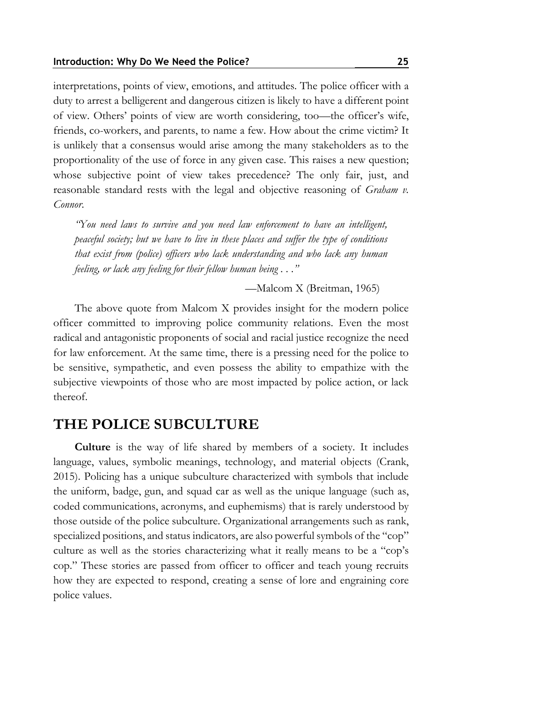interpretations, points of view, emotions, and attitudes. The police officer with a duty to arrest a belligerent and dangerous citizen is likely to have a different point of view. Others' points of view are worth considering, too—the officer's wife, friends, co-workers, and parents, to name a few. How about the crime victim? It is unlikely that a consensus would arise among the many stakeholders as to the proportionality of the use of force in any given case. This raises a new question; whose subjective point of view takes precedence? The only fair, just, and reasonable standard rests with the legal and objective reasoning of *Graham v. Connor*.

*"You need laws to survive and you need law enforcement to have an intelligent, peaceful society; but we have to live in these places and suffer the type of conditions that exist from (police) officers who lack understanding and who lack any human feeling, or lack any feeling for their fellow human being . . ."*

—Malcom X (Breitman, 1965)

The above quote from Malcom X provides insight for the modern police officer committed to improving police community relations. Even the most radical and antagonistic proponents of social and racial justice recognize the need for law enforcement. At the same time, there is a pressing need for the police to be sensitive, sympathetic, and even possess the ability to empathize with the subjective viewpoints of those who are most impacted by police action, or lack thereof.

### **THE POLICE SUBCULTURE**

**Culture** is the way of life shared by members of a society. It includes language, values, symbolic meanings, technology, and material objects (Crank, 2015). Policing has a unique subculture characterized with symbols that include the uniform, badge, gun, and squad car as well as the unique language (such as, coded communications, acronyms, and euphemisms) that is rarely understood by those outside of the police subculture. Organizational arrangements such as rank, specialized positions, and status indicators, are also powerful symbols of the "cop" culture as well as the stories characterizing what it really means to be a "cop's cop." These stories are passed from officer to officer and teach young recruits how they are expected to respond, creating a sense of lore and engraining core police values.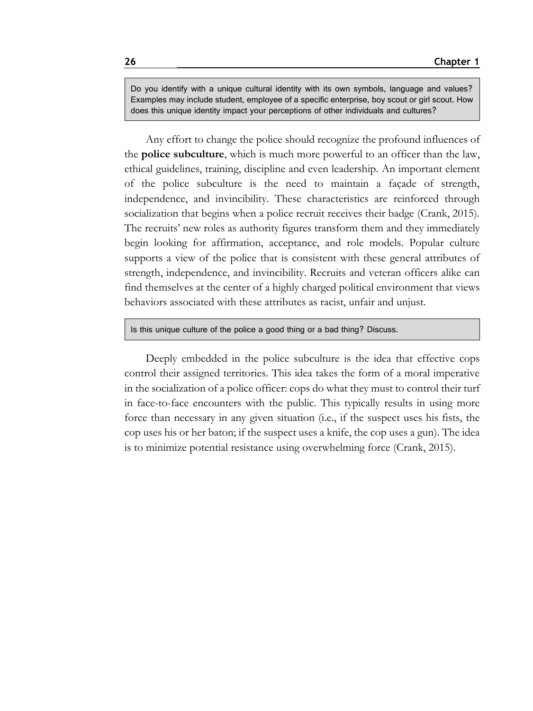Do you identify with a unique cultural identity with its own symbols, language and values? Examples may include student, employee of a specific enterprise, boy scout or girl scout. How does this unique identity impact your perceptions of other individuals and cultures?

Any effort to change the police should recognize the profound influences of the **police subculture**, which is much more powerful to an officer than the law, ethical guidelines, training, discipline and even leadership. An important element of the police subculture is the need to maintain a façade of strength, independence, and invincibility. These characteristics are reinforced through socialization that begins when a police recruit receives their badge (Crank, 2015). The recruits' new roles as authority figures transform them and they immediately begin looking for affirmation, acceptance, and role models. Popular culture supports a view of the police that is consistent with these general attributes of strength, independence, and invincibility. Recruits and veteran officers alike can find themselves at the center of a highly charged political environment that views behaviors associated with these attributes as racist, unfair and unjust.

#### Is this unique culture of the police a good thing or a bad thing? Discuss.

Deeply embedded in the police subculture is the idea that effective cops control their assigned territories. This idea takes the form of a moral imperative in the socialization of a police officer: cops do what they must to control their turf in face-to-face encounters with the public. This typically results in using more force than necessary in any given situation (i.e., if the suspect uses his fists, the cop uses his or her baton; if the suspect uses a knife, the cop uses a gun). The idea is to minimize potential resistance using overwhelming force (Crank, 2015).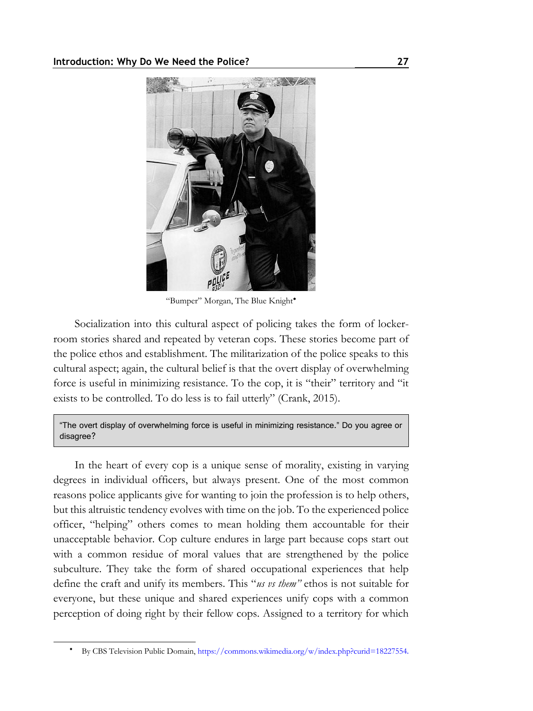

"Bumper" Morgan, The Blue Knight

Socialization into this cultural aspect of policing takes the form of lockerroom stories shared and repeated by veteran cops. These stories become part of the police ethos and establishment. The militarization of the police speaks to this cultural aspect; again, the cultural belief is that the overt display of overwhelming force is useful in minimizing resistance. To the cop, it is "their" territory and "it exists to be controlled. To do less is to fail utterly" (Crank, 2015).

"The overt display of overwhelming force is useful in minimizing resistance." Do you agree or disagree?

In the heart of every cop is a unique sense of morality, existing in varying degrees in individual officers, but always present. One of the most common reasons police applicants give for wanting to join the profession is to help others, but this altruistic tendency evolves with time on the job. To the experienced police officer, "helping" others comes to mean holding them accountable for their unacceptable behavior. Cop culture endures in large part because cops start out with a common residue of moral values that are strengthened by the police subculture. They take the form of shared occupational experiences that help define the craft and unify its members. This "*us vs them"* ethos is not suitable for everyone, but these unique and shared experiences unify cops with a common perception of doing right by their fellow cops. Assigned to a territory for which

By CBS Television Public Domain[, https://commons.wikimedia.org/w/index.php?curid=18227554](https://commons.wikimedia.org/w/index.php?curid=18227554).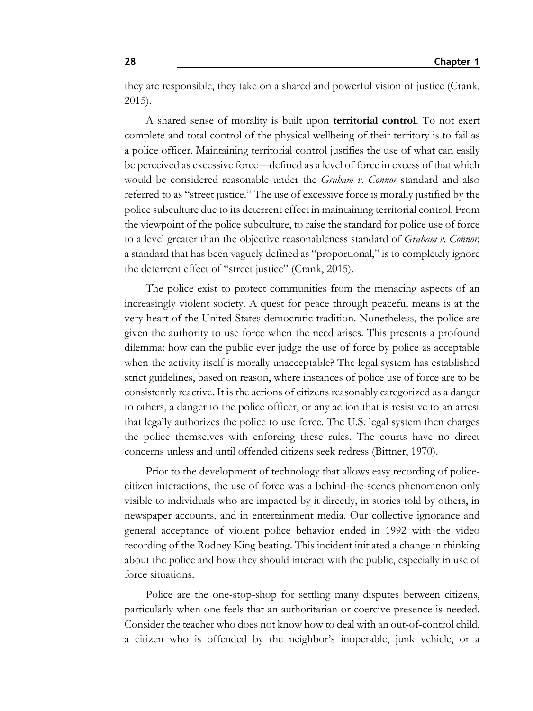they are responsible, they take on a shared and powerful vision of justice (Crank, 2015).

A shared sense of morality is built upon **territorial control**. To not exert complete and total control of the physical wellbeing of their territory is to fail as a police officer. Maintaining territorial control justifies the use of what can easily be perceived as excessive force—defined as a level of force in excess of that which would be considered reasonable under the *Graham v. Connor* standard and also referred to as "street justice." The use of excessive force is morally justified by the police subculture due to its deterrent effect in maintaining territorial control. From the viewpoint of the police subculture, to raise the standard for police use of force to a level greater than the objective reasonableness standard of *Graham v. Connor,* a standard that has been vaguely defined as "proportional," is to completely ignore the deterrent effect of "street justice" (Crank, 2015).

The police exist to protect communities from the menacing aspects of an increasingly violent society. A quest for peace through peaceful means is at the very heart of the United States democratic tradition. Nonetheless, the police are given the authority to use force when the need arises. This presents a profound dilemma: how can the public ever judge the use of force by police as acceptable when the activity itself is morally unacceptable? The legal system has established strict guidelines, based on reason, where instances of police use of force are to be consistently reactive. It is the actions of citizens reasonably categorized as a danger to others, a danger to the police officer, or any action that is resistive to an arrest that legally authorizes the police to use force. The U.S. legal system then charges the police themselves with enforcing these rules. The courts have no direct concerns unless and until offended citizens seek redress (Bittner, 1970).

Prior to the development of technology that allows easy recording of policecitizen interactions, the use of force was a behind-the-scenes phenomenon only visible to individuals who are impacted by it directly, in stories told by others, in newspaper accounts, and in entertainment media. Our collective ignorance and general acceptance of violent police behavior ended in 1992 with the video recording of the Rodney King beating. This incident initiated a change in thinking about the police and how they should interact with the public, especially in use of force situations.

Police are the one-stop-shop for settling many disputes between citizens, particularly when one feels that an authoritarian or coercive presence is needed. Consider the teacher who does not know how to deal with an out-of-control child, a citizen who is offended by the neighbor's inoperable, junk vehicle, or a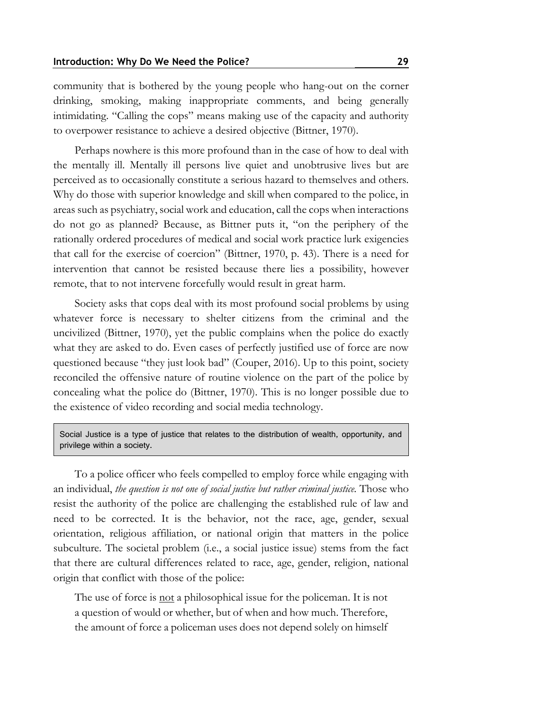community that is bothered by the young people who hang-out on the corner drinking, smoking, making inappropriate comments, and being generally intimidating. "Calling the cops" means making use of the capacity and authority to overpower resistance to achieve a desired objective (Bittner, 1970).

Perhaps nowhere is this more profound than in the case of how to deal with the mentally ill. Mentally ill persons live quiet and unobtrusive lives but are perceived as to occasionally constitute a serious hazard to themselves and others. Why do those with superior knowledge and skill when compared to the police, in areas such as psychiatry, social work and education, call the cops when interactions do not go as planned? Because, as Bittner puts it, "on the periphery of the rationally ordered procedures of medical and social work practice lurk exigencies that call for the exercise of coercion" (Bittner, 1970, p. 43). There is a need for intervention that cannot be resisted because there lies a possibility, however remote, that to not intervene forcefully would result in great harm.

Society asks that cops deal with its most profound social problems by using whatever force is necessary to shelter citizens from the criminal and the uncivilized (Bittner, 1970), yet the public complains when the police do exactly what they are asked to do. Even cases of perfectly justified use of force are now questioned because "they just look bad" (Couper, 2016). Up to this point, society reconciled the offensive nature of routine violence on the part of the police by concealing what the police do (Bittner, 1970). This is no longer possible due to the existence of video recording and social media technology.

Social Justice is a type of justice that relates to the distribution of wealth, opportunity, and privilege within a society.

To a police officer who feels compelled to employ force while engaging with an individual, *the question is not one of social justice but rather criminal justice.* Those who resist the authority of the police are challenging the established rule of law and need to be corrected. It is the behavior, not the race, age, gender, sexual orientation, religious affiliation, or national origin that matters in the police subculture. The societal problem (i.e., a social justice issue) stems from the fact that there are cultural differences related to race, age, gender, religion, national origin that conflict with those of the police:

The use of force is <u>not</u> a philosophical issue for the policeman. It is not a question of would or whether, but of when and how much. Therefore, the amount of force a policeman uses does not depend solely on himself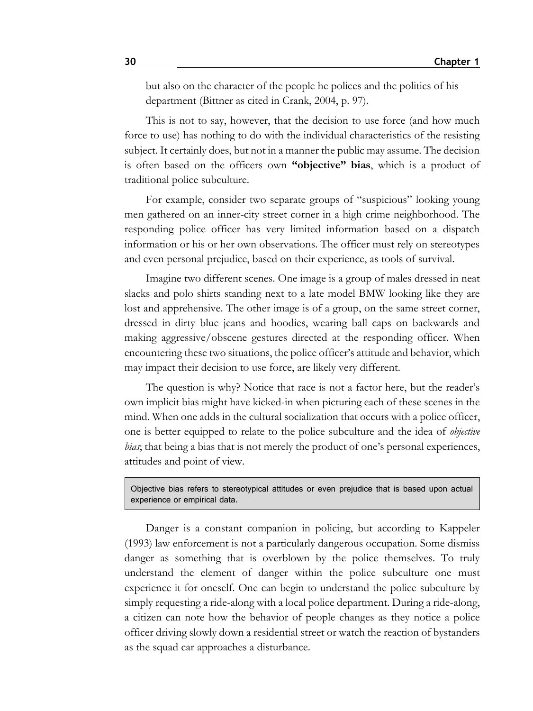but also on the character of the people he polices and the politics of his department (Bittner as cited in Crank, 2004, p. 97).

This is not to say, however, that the decision to use force (and how much force to use) has nothing to do with the individual characteristics of the resisting subject. It certainly does, but not in a manner the public may assume. The decision is often based on the officers own **"objective" bias**, which is a product of traditional police subculture.

For example, consider two separate groups of "suspicious" looking young men gathered on an inner-city street corner in a high crime neighborhood. The responding police officer has very limited information based on a dispatch information or his or her own observations. The officer must rely on stereotypes and even personal prejudice, based on their experience, as tools of survival.

Imagine two different scenes. One image is a group of males dressed in neat slacks and polo shirts standing next to a late model BMW looking like they are lost and apprehensive. The other image is of a group, on the same street corner, dressed in dirty blue jeans and hoodies, wearing ball caps on backwards and making aggressive/obscene gestures directed at the responding officer. When encountering these two situations, the police officer's attitude and behavior, which may impact their decision to use force, are likely very different.

The question is why? Notice that race is not a factor here, but the reader's own implicit bias might have kicked-in when picturing each of these scenes in the mind. When one adds in the cultural socialization that occurs with a police officer, one is better equipped to relate to the police subculture and the idea of *objective bias*; that being a bias that is not merely the product of one's personal experiences, attitudes and point of view.

Objective bias refers to stereotypical attitudes or even prejudice that is based upon actual experience or empirical data.

Danger is a constant companion in policing, but according to Kappeler (1993) law enforcement is not a particularly dangerous occupation. Some dismiss danger as something that is overblown by the police themselves. To truly understand the element of danger within the police subculture one must experience it for oneself. One can begin to understand the police subculture by simply requesting a ride-along with a local police department. During a ride-along, a citizen can note how the behavior of people changes as they notice a police officer driving slowly down a residential street or watch the reaction of bystanders as the squad car approaches a disturbance.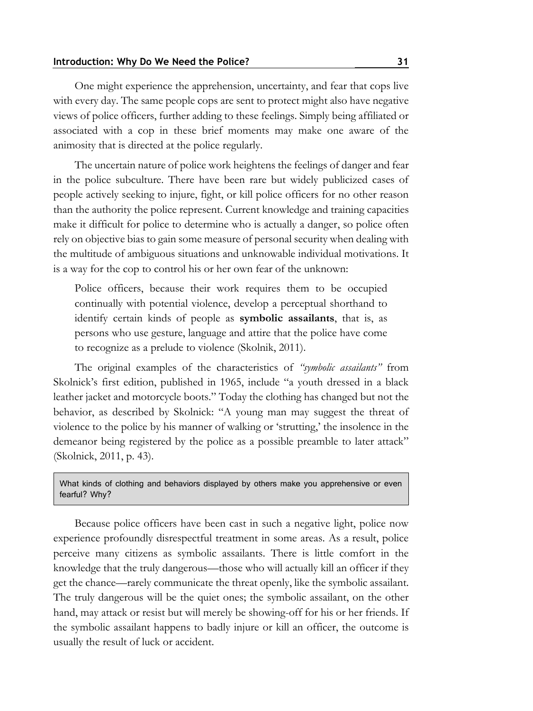One might experience the apprehension, uncertainty, and fear that cops live with every day. The same people cops are sent to protect might also have negative views of police officers, further adding to these feelings. Simply being affiliated or associated with a cop in these brief moments may make one aware of the animosity that is directed at the police regularly.

The uncertain nature of police work heightens the feelings of danger and fear in the police subculture. There have been rare but widely publicized cases of people actively seeking to injure, fight, or kill police officers for no other reason than the authority the police represent. Current knowledge and training capacities make it difficult for police to determine who is actually a danger, so police often rely on objective bias to gain some measure of personal security when dealing with the multitude of ambiguous situations and unknowable individual motivations. It is a way for the cop to control his or her own fear of the unknown:

Police officers, because their work requires them to be occupied continually with potential violence, develop a perceptual shorthand to identify certain kinds of people as **symbolic assailants**, that is, as persons who use gesture, language and attire that the police have come to recognize as a prelude to violence (Skolnik, 2011).

The original examples of the characteristics of *"symbolic assailants"* from Skolnick's first edition, published in 1965, include "a youth dressed in a black leather jacket and motorcycle boots." Today the clothing has changed but not the behavior, as described by Skolnick: "A young man may suggest the threat of violence to the police by his manner of walking or 'strutting,' the insolence in the demeanor being registered by the police as a possible preamble to later attack" (Skolnick, 2011, p. 43).

What kinds of clothing and behaviors displayed by others make you apprehensive or even fearful? Why?

Because police officers have been cast in such a negative light, police now experience profoundly disrespectful treatment in some areas. As a result, police perceive many citizens as symbolic assailants. There is little comfort in the knowledge that the truly dangerous—those who will actually kill an officer if they get the chance—rarely communicate the threat openly, like the symbolic assailant. The truly dangerous will be the quiet ones; the symbolic assailant, on the other hand, may attack or resist but will merely be showing-off for his or her friends. If the symbolic assailant happens to badly injure or kill an officer, the outcome is usually the result of luck or accident.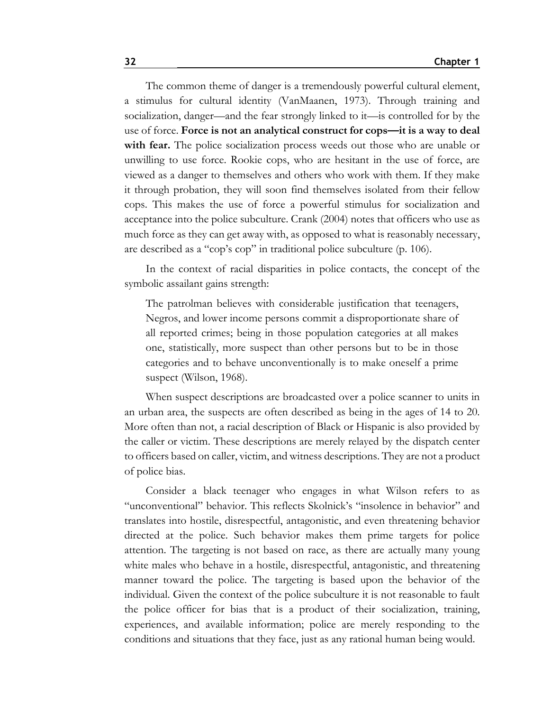The common theme of danger is a tremendously powerful cultural element, a stimulus for cultural identity (VanMaanen, 1973). Through training and socialization, danger—and the fear strongly linked to it—is controlled for by the use of force. **Force is not an analytical construct for cops—it is a way to deal**  with fear. The police socialization process weeds out those who are unable or unwilling to use force. Rookie cops, who are hesitant in the use of force, are viewed as a danger to themselves and others who work with them. If they make it through probation, they will soon find themselves isolated from their fellow cops. This makes the use of force a powerful stimulus for socialization and acceptance into the police subculture. Crank (2004) notes that officers who use as much force as they can get away with, as opposed to what is reasonably necessary, are described as a "cop's cop" in traditional police subculture (p. 106).

In the context of racial disparities in police contacts, the concept of the symbolic assailant gains strength:

The patrolman believes with considerable justification that teenagers, Negros, and lower income persons commit a disproportionate share of all reported crimes; being in those population categories at all makes one, statistically, more suspect than other persons but to be in those categories and to behave unconventionally is to make oneself a prime suspect (Wilson, 1968).

When suspect descriptions are broadcasted over a police scanner to units in an urban area, the suspects are often described as being in the ages of 14 to 20. More often than not, a racial description of Black or Hispanic is also provided by the caller or victim. These descriptions are merely relayed by the dispatch center to officers based on caller, victim, and witness descriptions. They are not a product of police bias.

Consider a black teenager who engages in what Wilson refers to as "unconventional" behavior. This reflects Skolnick's "insolence in behavior" and translates into hostile, disrespectful, antagonistic, and even threatening behavior directed at the police. Such behavior makes them prime targets for police attention. The targeting is not based on race, as there are actually many young white males who behave in a hostile, disrespectful, antagonistic, and threatening manner toward the police. The targeting is based upon the behavior of the individual. Given the context of the police subculture it is not reasonable to fault the police officer for bias that is a product of their socialization, training, experiences, and available information; police are merely responding to the conditions and situations that they face, just as any rational human being would.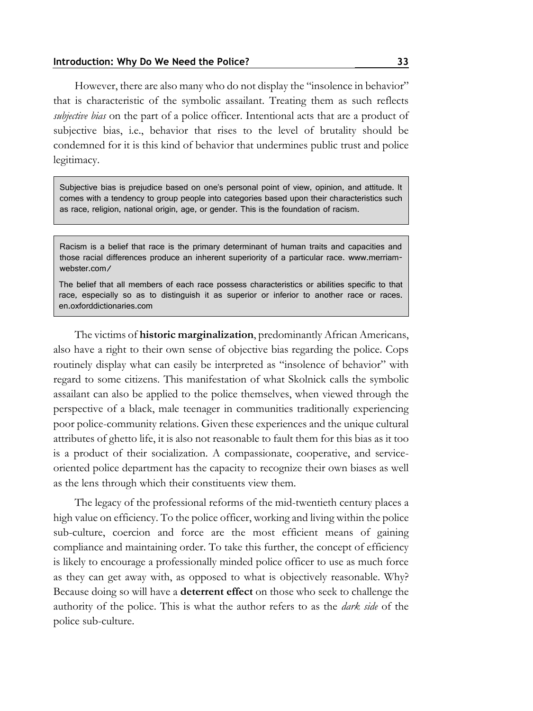However, there are also many who do not display the "insolence in behavior" that is characteristic of the symbolic assailant. Treating them as such reflects *subjective bias* on the part of a police officer. Intentional acts that are a product of subjective bias, i.e., behavior that rises to the level of brutality should be condemned for it is this kind of behavior that undermines public trust and police legitimacy.

Subjective bias is prejudice based on one's personal point of view, opinion, and attitude. It comes with a tendency to group people into categories based upon their characteristics such as race, religion, national origin, age, or gender. This is the foundation of racism.

Racism is a belief that race is the primary determinant of human traits and capacities and those racial differences produce an inherent superiority of a particular race. [www.merriam](https://www.merriam-webster.com/)[webster.com/](https://www.merriam-webster.com/)

The belief that all members of each race possess characteristics or abilities specific to that race, especially so as to distinguish it as superior or inferior to another race or races. en.oxforddictionaries.com

The victims of **historic marginalization**, predominantly African Americans, also have a right to their own sense of objective bias regarding the police. Cops routinely display what can easily be interpreted as "insolence of behavior" with regard to some citizens. This manifestation of what Skolnick calls the symbolic assailant can also be applied to the police themselves, when viewed through the perspective of a black, male teenager in communities traditionally experiencing poor police-community relations. Given these experiences and the unique cultural attributes of ghetto life, it is also not reasonable to fault them for this bias as it too is a product of their socialization. A compassionate, cooperative, and serviceoriented police department has the capacity to recognize their own biases as well as the lens through which their constituents view them.

The legacy of the professional reforms of the mid-twentieth century places a high value on efficiency. To the police officer, working and living within the police sub-culture, coercion and force are the most efficient means of gaining compliance and maintaining order. To take this further, the concept of efficiency is likely to encourage a professionally minded police officer to use as much force as they can get away with, as opposed to what is objectively reasonable. Why? Because doing so will have a **deterrent effect** on those who seek to challenge the authority of the police. This is what the author refers to as the *dark side* of the police sub-culture.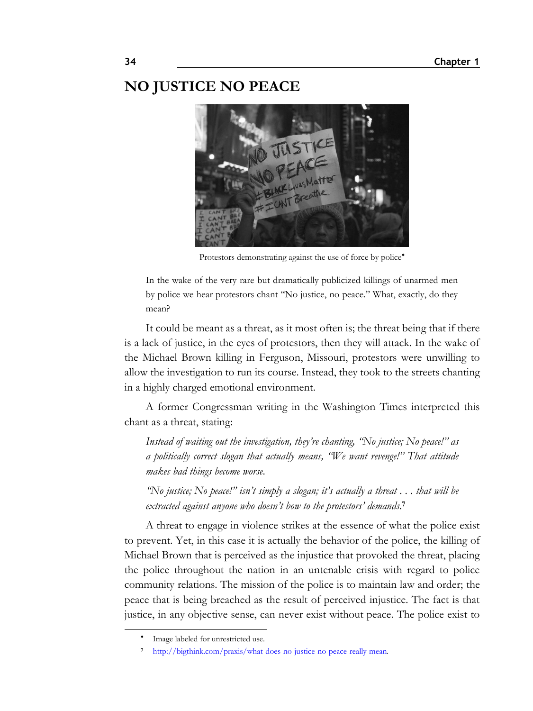### **NO JUSTICE NO PEACE**



Protestors demonstrating against the use of force by police<sup>\*</sup>

In the wake of the very rare but dramatically publicized killings of unarmed men by police we hear protestors chant "No justice, no peace." What, exactly, do they mean?

It could be meant as a threat, as it most often is; the threat being that if there is a lack of justice, in the eyes of protestors, then they will attack. In the wake of the Michael Brown killing in Ferguson, Missouri, protestors were unwilling to allow the investigation to run its course. Instead, they took to the streets chanting in a highly charged emotional environment.

A former Congressman writing in the Washington Times interpreted this chant as a threat, stating:

*Instead of waiting out the investigation, they're chanting, "No justice; No peace!" as a politically correct slogan that actually means, "We want revenge!" That attitude makes bad things become worse*.

*"No justice; No peace!" isn't simply a slogan; it's actually a threat . . . that will be extracted against anyone who doesn't bow to the protestors' demands*. **7**

A threat to engage in violence strikes at the essence of what the police exist to prevent. Yet, in this case it is actually the behavior of the police, the killing of Michael Brown that is perceived as the injustice that provoked the threat, placing the police throughout the nation in an untenable crisis with regard to police community relations. The mission of the police is to maintain law and order; the peace that is being breached as the result of perceived injustice. The fact is that justice, in any objective sense, can never exist without peace. The police exist to

٠ Image labeled for unrestricted use.

**<sup>7</sup>** [http://bigthink.com/praxis/what-does-no-justice-no-peace-really-mean.](http://bigthink.com/praxis/what-does-no-justice-no-peace-really-mean)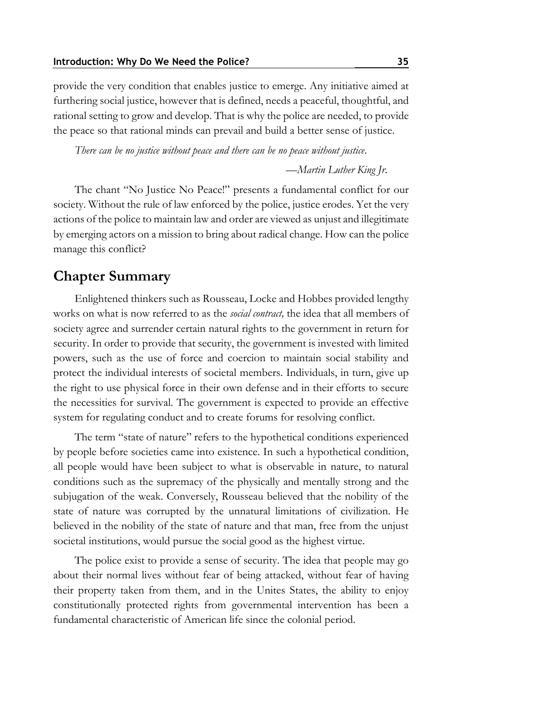provide the very condition that enables justice to emerge. Any initiative aimed at furthering social justice, however that is defined, needs a peaceful, thoughtful, and rational setting to grow and develop. That is why the police are needed, to provide the peace so that rational minds can prevail and build a better sense of justice.

*There can be no justice without peace and there can be no peace without justice*.

*—Martin Luther King Jr*.

The chant "No Justice No Peace!" presents a fundamental conflict for our society. Without the rule of law enforced by the police, justice erodes. Yet the very actions of the police to maintain law and order are viewed as unjust and illegitimate by emerging actors on a mission to bring about radical change. How can the police manage this conflict?

### **Chapter Summary**

Enlightened thinkers such as Rousseau, Locke and Hobbes provided lengthy works on what is now referred to as the *social contract,* the idea that all members of society agree and surrender certain natural rights to the government in return for security. In order to provide that security, the government is invested with limited powers, such as the use of force and coercion to maintain social stability and protect the individual interests of societal members. Individuals, in turn, give up the right to use physical force in their own defense and in their efforts to secure the necessities for survival. The government is expected to provide an effective system for regulating conduct and to create forums for resolving conflict.

The term "state of nature" refers to the hypothetical conditions experienced by people before societies came into existence. In such a hypothetical condition, all people would have been subject to what is observable in nature, to natural conditions such as the supremacy of the physically and mentally strong and the subjugation of the weak. Conversely, Rousseau believed that the nobility of the state of nature was corrupted by the unnatural limitations of civilization. He believed in the nobility of the state of nature and that man, free from the unjust societal institutions, would pursue the social good as the highest virtue.

The police exist to provide a sense of security. The idea that people may go about their normal lives without fear of being attacked, without fear of having their property taken from them, and in the Unites States, the ability to enjoy constitutionally protected rights from governmental intervention has been a fundamental characteristic of American life since the colonial period.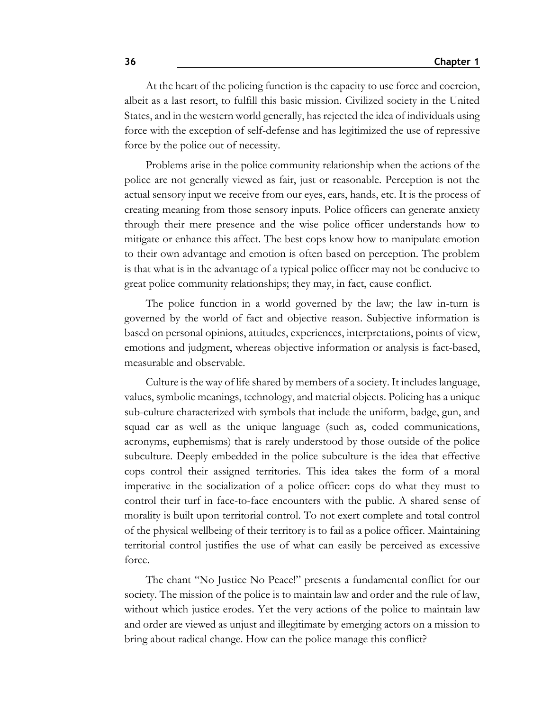At the heart of the policing function is the capacity to use force and coercion, albeit as a last resort, to fulfill this basic mission. Civilized society in the United States, and in the western world generally, has rejected the idea of individuals using force with the exception of self-defense and has legitimized the use of repressive force by the police out of necessity.

Problems arise in the police community relationship when the actions of the police are not generally viewed as fair, just or reasonable. Perception is not the actual sensory input we receive from our eyes, ears, hands, etc. It is the process of creating meaning from those sensory inputs. Police officers can generate anxiety through their mere presence and the wise police officer understands how to mitigate or enhance this affect. The best cops know how to manipulate emotion to their own advantage and emotion is often based on perception. The problem is that what is in the advantage of a typical police officer may not be conducive to great police community relationships; they may, in fact, cause conflict.

The police function in a world governed by the law; the law in-turn is governed by the world of fact and objective reason. Subjective information is based on personal opinions, attitudes, experiences, interpretations, points of view, emotions and judgment, whereas objective information or analysis is fact-based, measurable and observable.

Culture is the way of life shared by members of a society. It includes language, values, symbolic meanings, technology, and material objects. Policing has a unique sub-culture characterized with symbols that include the uniform, badge, gun, and squad car as well as the unique language (such as, coded communications, acronyms, euphemisms) that is rarely understood by those outside of the police subculture. Deeply embedded in the police subculture is the idea that effective cops control their assigned territories. This idea takes the form of a moral imperative in the socialization of a police officer: cops do what they must to control their turf in face-to-face encounters with the public. A shared sense of morality is built upon territorial control. To not exert complete and total control of the physical wellbeing of their territory is to fail as a police officer. Maintaining territorial control justifies the use of what can easily be perceived as excessive force.

The chant "No Justice No Peace!" presents a fundamental conflict for our society. The mission of the police is to maintain law and order and the rule of law, without which justice erodes. Yet the very actions of the police to maintain law and order are viewed as unjust and illegitimate by emerging actors on a mission to bring about radical change. How can the police manage this conflict?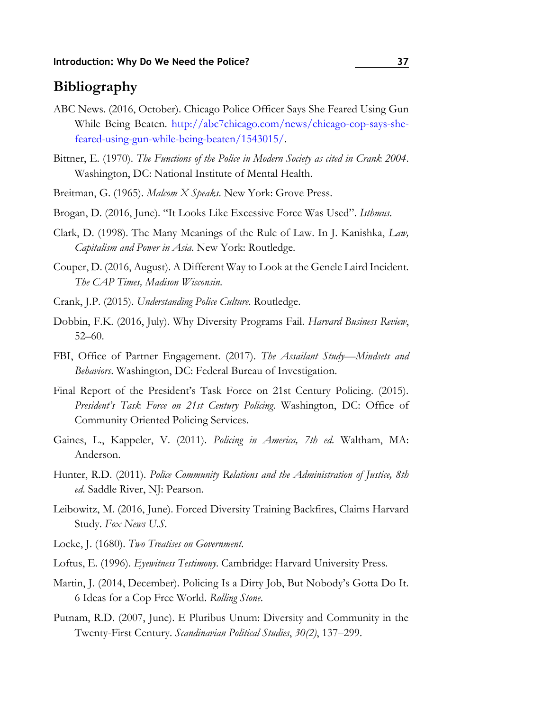### **Bibliography**

- ABC News. (2016, October). Chicago Police Officer Says She Feared Using Gun While Being Beaten. [http://abc7chicago.com/news/chicago-cop-says-she](http://abc7chicago.com/news/chicago-cop-says-she-feared-using-gun-while-being-beaten/1543015/)[feared-using-gun-while-being-beaten/1543015/.](http://abc7chicago.com/news/chicago-cop-says-she-feared-using-gun-while-being-beaten/1543015/)
- Bittner, E. (1970). *The Functions of the Police in Modern Society as cited in Crank 2004*. Washington, DC: National Institute of Mental Health.
- Breitman, G. (1965). *Malcom X Speaks*. New York: Grove Press.
- Brogan, D. (2016, June). "It Looks Like Excessive Force Was Used". *Isthmus*.
- Clark, D. (1998). The Many Meanings of the Rule of Law. In J. Kanishka, *Law, Capitalism and Power in Asia*. New York: Routledge.
- Couper, D. (2016, August). A Different Way to Look at the Genele Laird Incident. *The CAP Times, Madison Wisconsin*.
- Crank, J.P. (2015). *Understanding Police Culture*. Routledge.
- Dobbin, F.K. (2016, July). Why Diversity Programs Fail. *Harvard Business Review*, 52–60.
- FBI, Office of Partner Engagement. (2017). *The Assailant Study—Mindsets and Behaviors*. Washington, DC: Federal Bureau of Investigation.
- Final Report of the President's Task Force on 21st Century Policing. (2015). *President's Task Force on 21st Century Policing*. Washington, DC: Office of Community Oriented Policing Services.
- Gaines, L., Kappeler, V. (2011). *Policing in America, 7th ed*. Waltham, MA: Anderson.
- Hunter, R.D. (2011). *Police Community Relations and the Administration of Justice, 8th ed*. Saddle River, NJ: Pearson.
- Leibowitz, M. (2016, June). Forced Diversity Training Backfires, Claims Harvard Study. *Fox News U.S*.
- Locke, J. (1680). *Two Treatises on Government*.
- Loftus, E. (1996). *Eyewitness Testimony*. Cambridge: Harvard University Press.
- Martin, J. (2014, December). Policing Is a Dirty Job, But Nobody's Gotta Do It. 6 Ideas for a Cop Free World. *Rolling Stone*.
- Putnam, R.D. (2007, June). E Pluribus Unum: Diversity and Community in the Twenty-First Century. *Scandinavian Political Studies*, *30(2)*, 137–299.